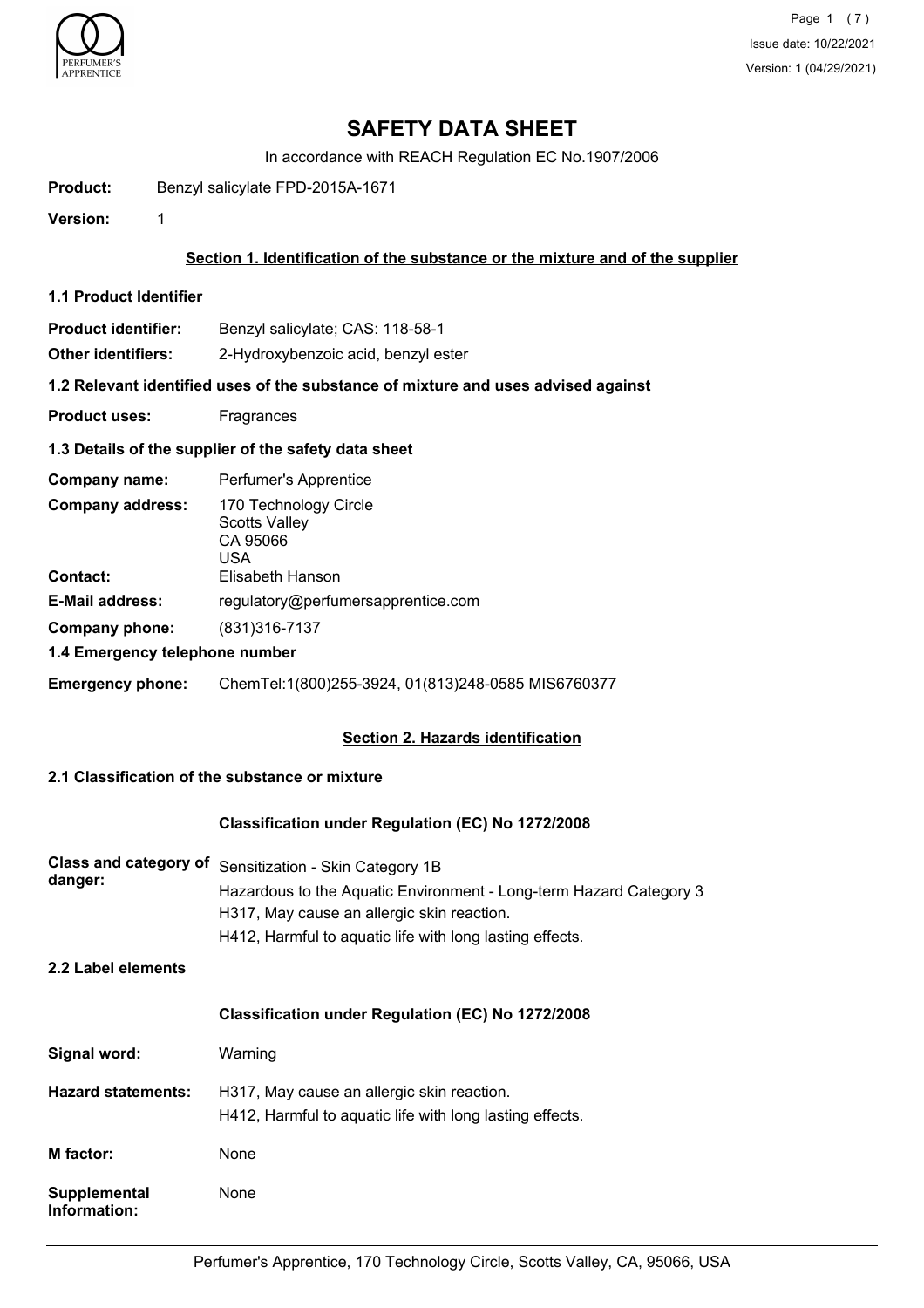

Page 1 (7) Issue date: 10/22/2021 Version: 1 (04/29/2021)

# **SAFETY DATA SHEET**

In accordance with REACH Regulation EC No.1907/2006

**Product:** Benzyl salicylate FPD-2015A-1671

**Version:** 1

## **Section 1. Identification of the substance or the mixture and of the supplier**

**1.1 Product Identifier**

**Product identifier:** Benzyl salicylate; CAS: 118-58-1

**Other identifiers:** 2-Hydroxybenzoic acid, benzyl ester

**1.2 Relevant identified uses of the substance of mixture and uses advised against**

**Product uses:** Fragrances

## **1.3 Details of the supplier of the safety data sheet**

| Company name:                              | Perfumer's Apprentice                                                                |
|--------------------------------------------|--------------------------------------------------------------------------------------|
| <b>Company address:</b><br><b>Contact:</b> | 170 Technology Circle<br><b>Scotts Valley</b><br>CA 95066<br>USA<br>Elisabeth Hanson |
| <b>E-Mail address:</b>                     | regulatory@perfumersapprentice.com                                                   |
| Company phone:                             | (831)316-7137                                                                        |
| 1.4 Emergency telephone number             |                                                                                      |
| <b>Emergency phone:</b>                    | ChemTel:1(800)255-3924, 01(813)248-0585 MIS6760377                                   |

## **Section 2. Hazards identification**

# **2.1 Classification of the substance or mixture**

## **Classification under Regulation (EC) No 1272/2008**

| danger: | Class and category of Sensitization - Skin Category 1B             |
|---------|--------------------------------------------------------------------|
|         | Hazardous to the Aquatic Environment - Long-term Hazard Category 3 |
|         | H317, May cause an allergic skin reaction.                         |
|         | H412, Harmful to aquatic life with long lasting effects.           |
|         |                                                                    |

**2.2 Label elements**

#### **Classification under Regulation (EC) No 1272/2008**

| Signal word:                 | Warning                                                                                                |
|------------------------------|--------------------------------------------------------------------------------------------------------|
| <b>Hazard statements:</b>    | H317, May cause an allergic skin reaction.<br>H412, Harmful to aquatic life with long lasting effects. |
| M factor:                    | None                                                                                                   |
| Supplemental<br>Information: | None                                                                                                   |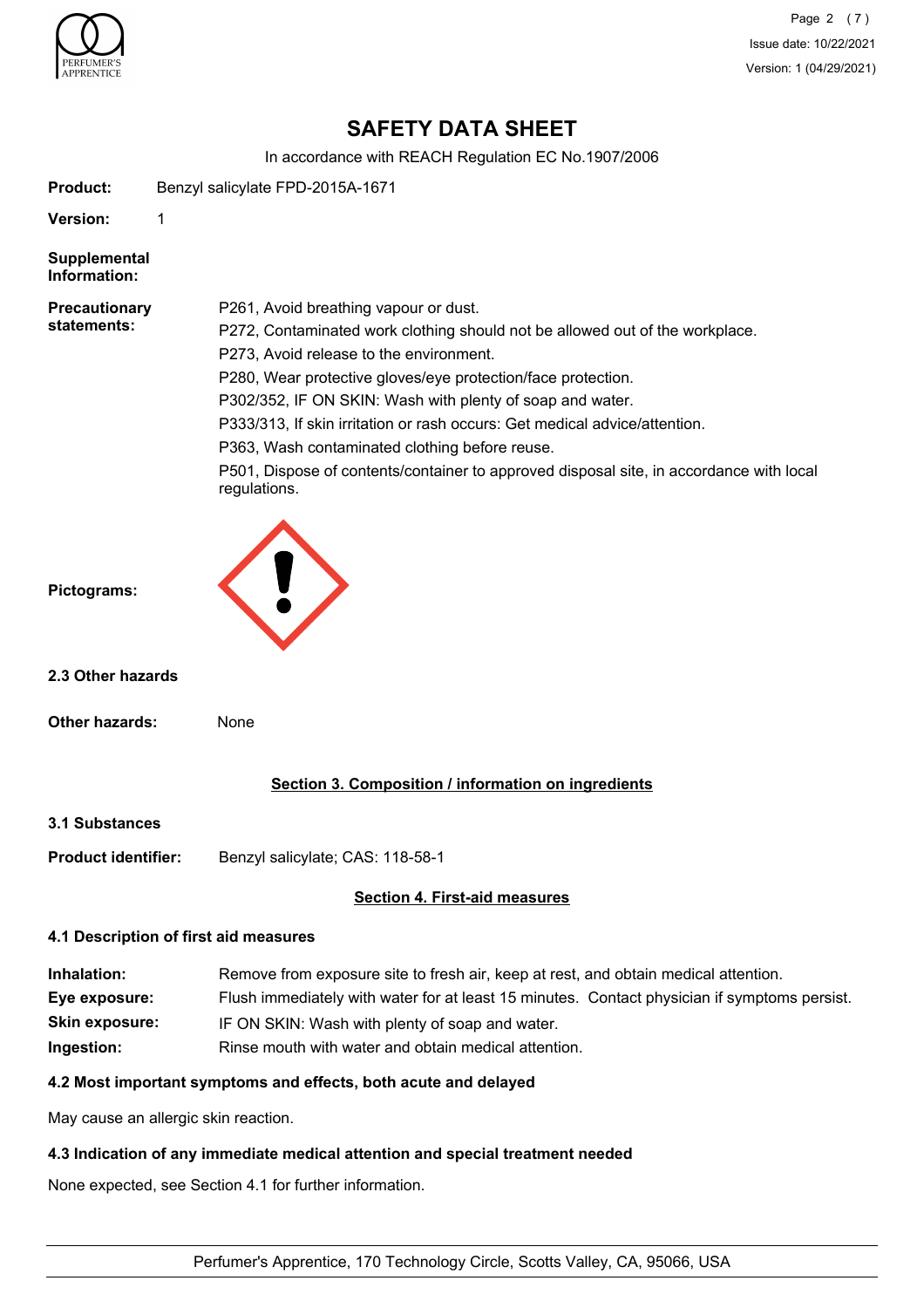

Page 2 (7) Issue date: 10/22/2021 Version: 1 (04/29/2021)

# **SAFETY DATA SHEET**

In accordance with REACH Regulation EC No.1907/2006

**Product:** Benzyl salicylate FPD-2015A-1671

**Version:** 1

**Supplemental Information:**

| <b>Precautionary</b> |
|----------------------|
| statements:          |

P261, Avoid breathing vapour or dust.

P272, Contaminated work clothing should not be allowed out of the workplace.

P273, Avoid release to the environment.

P280, Wear protective gloves/eye protection/face protection.

P302/352, IF ON SKIN: Wash with plenty of soap and water.

P333/313, If skin irritation or rash occurs: Get medical advice/attention.

P363, Wash contaminated clothing before reuse.

P501, Dispose of contents/container to approved disposal site, in accordance with local regulations.



**2.3 Other hazards**

**Other hazards:** None

**Section 3. Composition / information on ingredients**

**3.1 Substances**

**Product identifier:** Benzyl salicylate; CAS: 118-58-1

## **Section 4. First-aid measures**

## **4.1 Description of first aid measures**

| Inhalation:           | Remove from exposure site to fresh air, keep at rest, and obtain medical attention.          |
|-----------------------|----------------------------------------------------------------------------------------------|
| Eye exposure:         | Flush immediately with water for at least 15 minutes. Contact physician if symptoms persist. |
| <b>Skin exposure:</b> | IF ON SKIN: Wash with plenty of soap and water.                                              |
| Ingestion:            | Rinse mouth with water and obtain medical attention.                                         |

## **4.2 Most important symptoms and effects, both acute and delayed**

May cause an allergic skin reaction.

## **4.3 Indication of any immediate medical attention and special treatment needed**

None expected, see Section 4.1 for further information.

Perfumer's Apprentice, 170 Technology Circle, Scotts Valley, CA, 95066, USA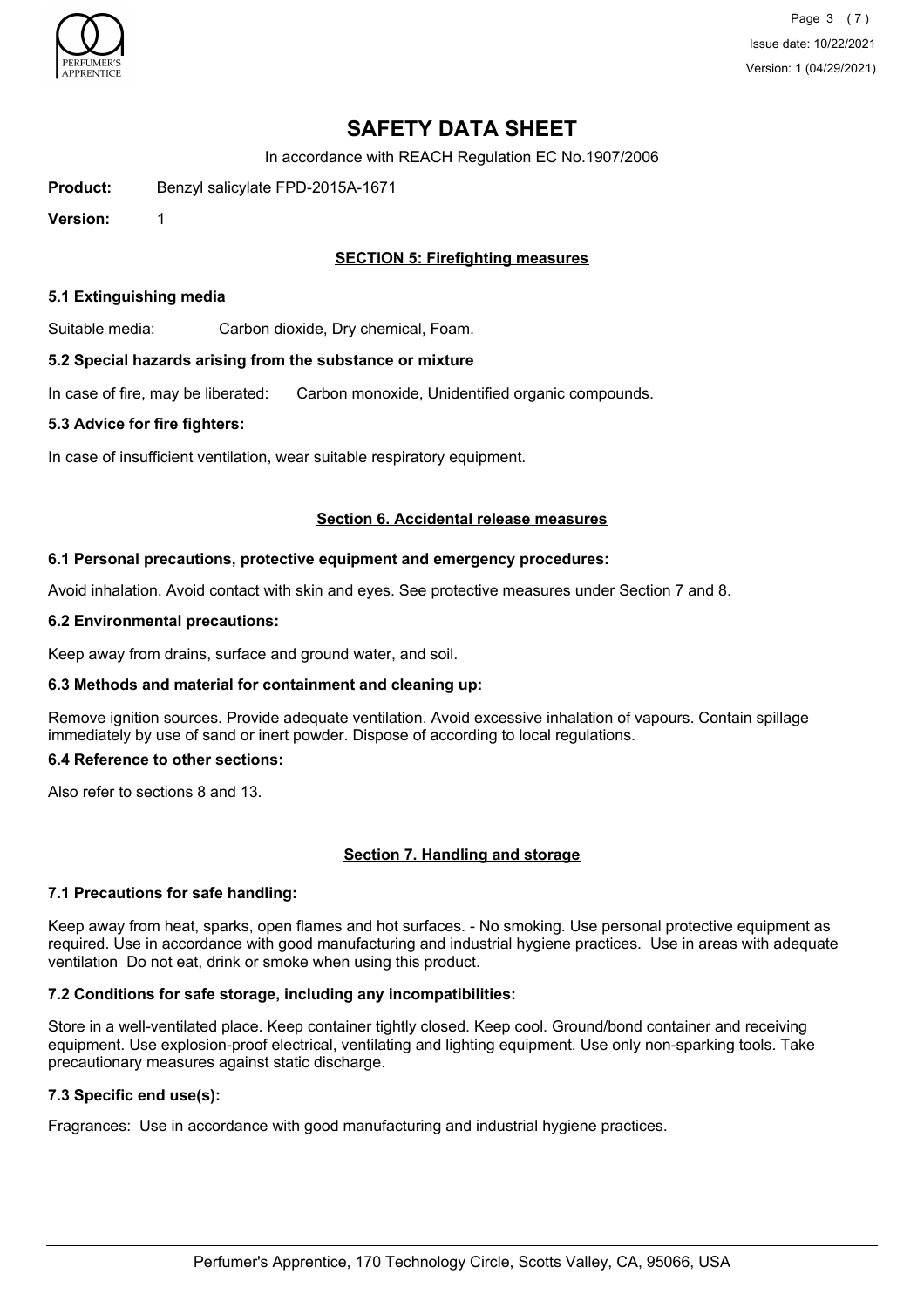

Page 3 (7) Issue date: 10/22/2021 Version: 1 (04/29/2021)

# **SAFETY DATA SHEET**

In accordance with REACH Regulation EC No.1907/2006

**Product:** Benzyl salicylate FPD-2015A-1671

**Version:** 1

## **SECTION 5: Firefighting measures**

#### **5.1 Extinguishing media**

Suitable media: Carbon dioxide, Dry chemical, Foam.

#### **5.2 Special hazards arising from the substance or mixture**

In case of fire, may be liberated: Carbon monoxide, Unidentified organic compounds.

#### **5.3 Advice for fire fighters:**

In case of insufficient ventilation, wear suitable respiratory equipment.

#### **Section 6. Accidental release measures**

#### **6.1 Personal precautions, protective equipment and emergency procedures:**

Avoid inhalation. Avoid contact with skin and eyes. See protective measures under Section 7 and 8.

#### **6.2 Environmental precautions:**

Keep away from drains, surface and ground water, and soil.

## **6.3 Methods and material for containment and cleaning up:**

Remove ignition sources. Provide adequate ventilation. Avoid excessive inhalation of vapours. Contain spillage immediately by use of sand or inert powder. Dispose of according to local regulations.

#### **6.4 Reference to other sections:**

Also refer to sections 8 and 13.

## **Section 7. Handling and storage**

## **7.1 Precautions for safe handling:**

Keep away from heat, sparks, open flames and hot surfaces. - No smoking. Use personal protective equipment as required. Use in accordance with good manufacturing and industrial hygiene practices. Use in areas with adequate ventilation Do not eat, drink or smoke when using this product.

## **7.2 Conditions for safe storage, including any incompatibilities:**

Store in a well-ventilated place. Keep container tightly closed. Keep cool. Ground/bond container and receiving equipment. Use explosion-proof electrical, ventilating and lighting equipment. Use only non-sparking tools. Take precautionary measures against static discharge.

## **7.3 Specific end use(s):**

Fragrances: Use in accordance with good manufacturing and industrial hygiene practices.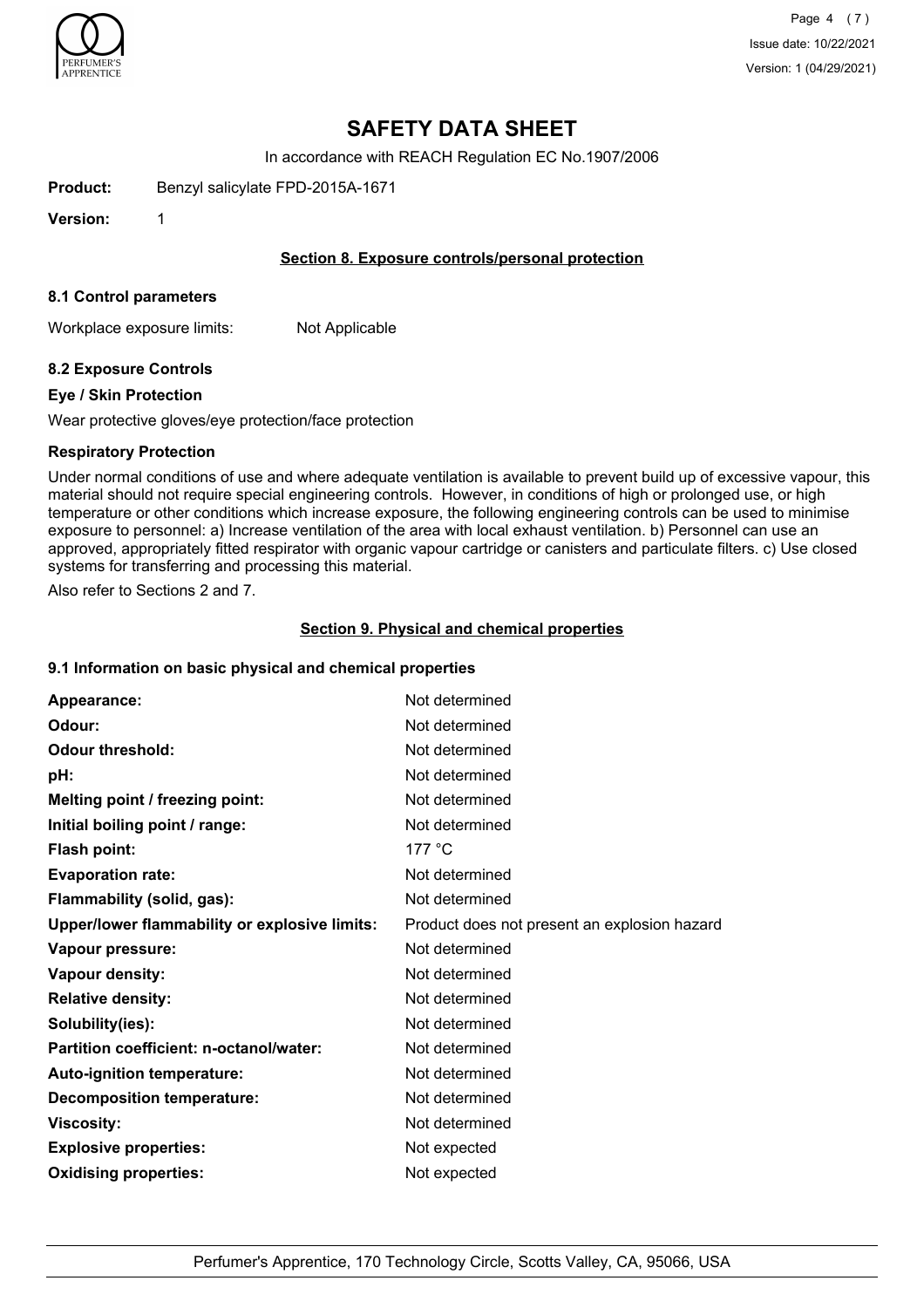

Page 4 (7) Issue date: 10/22/2021 Version: 1 (04/29/2021)

# **SAFETY DATA SHEET**

In accordance with REACH Regulation EC No.1907/2006

**Product:** Benzyl salicylate FPD-2015A-1671

**Version:** 1

### **Section 8. Exposure controls/personal protection**

#### **8.1 Control parameters**

Workplace exposure limits: Not Applicable

## **8.2 Exposure Controls**

#### **Eye / Skin Protection**

Wear protective gloves/eye protection/face protection

#### **Respiratory Protection**

Under normal conditions of use and where adequate ventilation is available to prevent build up of excessive vapour, this material should not require special engineering controls. However, in conditions of high or prolonged use, or high temperature or other conditions which increase exposure, the following engineering controls can be used to minimise exposure to personnel: a) Increase ventilation of the area with local exhaust ventilation. b) Personnel can use an approved, appropriately fitted respirator with organic vapour cartridge or canisters and particulate filters. c) Use closed systems for transferring and processing this material.

Also refer to Sections 2 and 7.

#### **Section 9. Physical and chemical properties**

## **9.1 Information on basic physical and chemical properties**

| Appearance:                                   | Not determined                               |
|-----------------------------------------------|----------------------------------------------|
| Odour:                                        | Not determined                               |
| <b>Odour threshold:</b>                       | Not determined                               |
| pH:                                           | Not determined                               |
| Melting point / freezing point:               | Not determined                               |
| Initial boiling point / range:                | Not determined                               |
| <b>Flash point:</b>                           | 177 $\degree$ C                              |
| <b>Evaporation rate:</b>                      | Not determined                               |
| Flammability (solid, gas):                    | Not determined                               |
| Upper/lower flammability or explosive limits: | Product does not present an explosion hazard |
| Vapour pressure:                              | Not determined                               |
| Vapour density:                               | Not determined                               |
| <b>Relative density:</b>                      | Not determined                               |
| Solubility(ies):                              | Not determined                               |
| Partition coefficient: n-octanol/water:       | Not determined                               |
| Auto-ignition temperature:                    | Not determined                               |
| <b>Decomposition temperature:</b>             | Not determined                               |
| <b>Viscosity:</b>                             | Not determined                               |
| <b>Explosive properties:</b>                  | Not expected                                 |
| <b>Oxidising properties:</b>                  | Not expected                                 |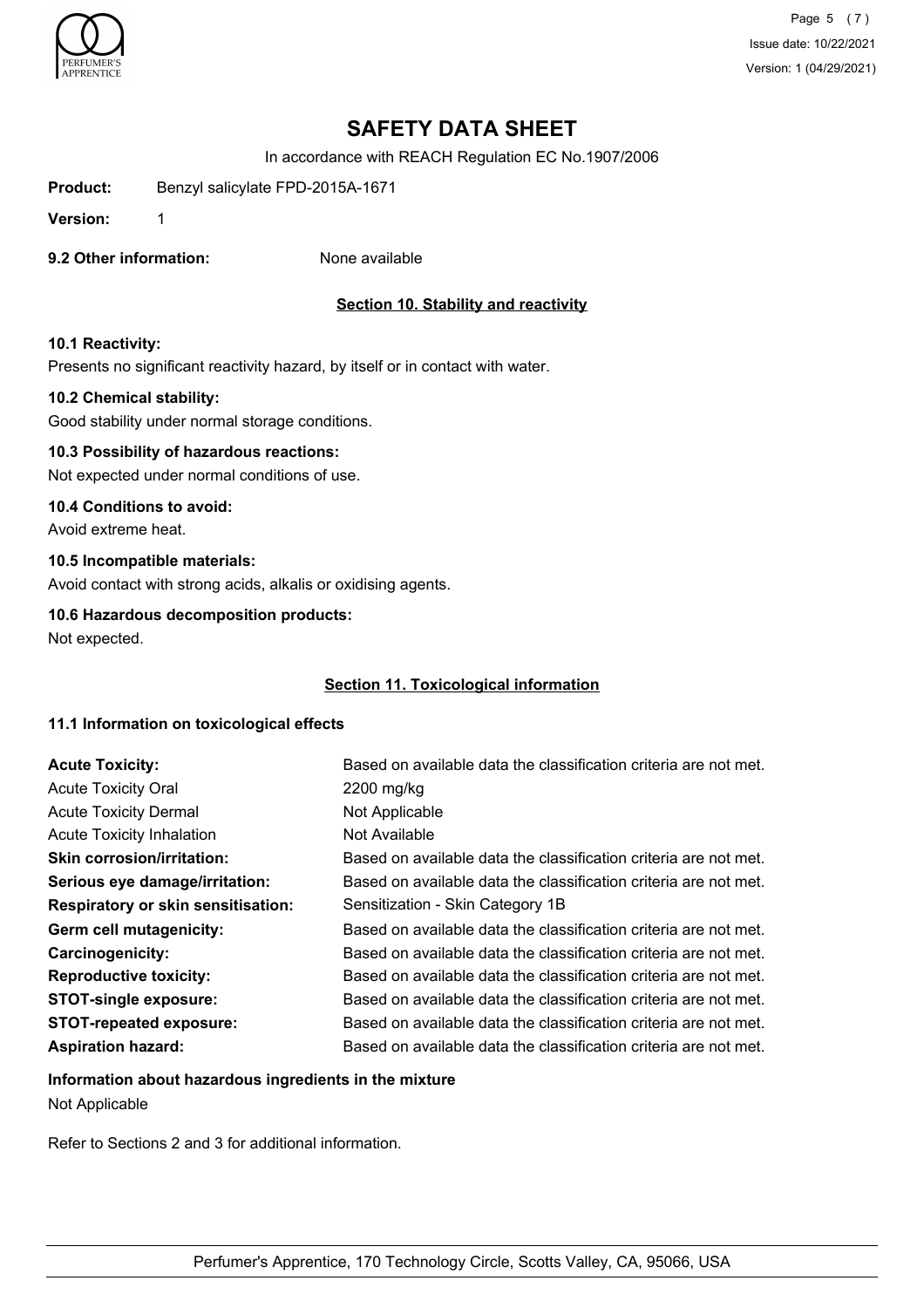

Page 5 (7) Issue date: 10/22/2021 Version: 1 (04/29/2021)

# **SAFETY DATA SHEET**

In accordance with REACH Regulation EC No.1907/2006

**Product:** Benzyl salicylate FPD-2015A-1671

**Version:** 1

**9.2 Other information:** None available

## **Section 10. Stability and reactivity**

#### **10.1 Reactivity:**

Presents no significant reactivity hazard, by itself or in contact with water.

#### **10.2 Chemical stability:**

Good stability under normal storage conditions.

## **10.3 Possibility of hazardous reactions:**

Not expected under normal conditions of use.

## **10.4 Conditions to avoid:**

Avoid extreme heat.

## **10.5 Incompatible materials:**

Avoid contact with strong acids, alkalis or oxidising agents.

#### **10.6 Hazardous decomposition products:**

Not expected.

## **Section 11. Toxicological information**

## **11.1 Information on toxicological effects**

| <b>Acute Toxicity:</b>                    | Based on available data the classification criteria are not met. |
|-------------------------------------------|------------------------------------------------------------------|
| <b>Acute Toxicity Oral</b>                | 2200 mg/kg                                                       |
| <b>Acute Toxicity Dermal</b>              | Not Applicable                                                   |
| <b>Acute Toxicity Inhalation</b>          | Not Available                                                    |
| <b>Skin corrosion/irritation:</b>         | Based on available data the classification criteria are not met. |
| Serious eye damage/irritation:            | Based on available data the classification criteria are not met. |
| <b>Respiratory or skin sensitisation:</b> | Sensitization - Skin Category 1B                                 |
| Germ cell mutagenicity:                   | Based on available data the classification criteria are not met. |
| <b>Carcinogenicity:</b>                   | Based on available data the classification criteria are not met. |
| <b>Reproductive toxicity:</b>             | Based on available data the classification criteria are not met. |
| <b>STOT-single exposure:</b>              | Based on available data the classification criteria are not met. |
| <b>STOT-repeated exposure:</b>            | Based on available data the classification criteria are not met. |
| <b>Aspiration hazard:</b>                 | Based on available data the classification criteria are not met. |

# **Information about hazardous ingredients in the mixture** Not Applicable

Refer to Sections 2 and 3 for additional information.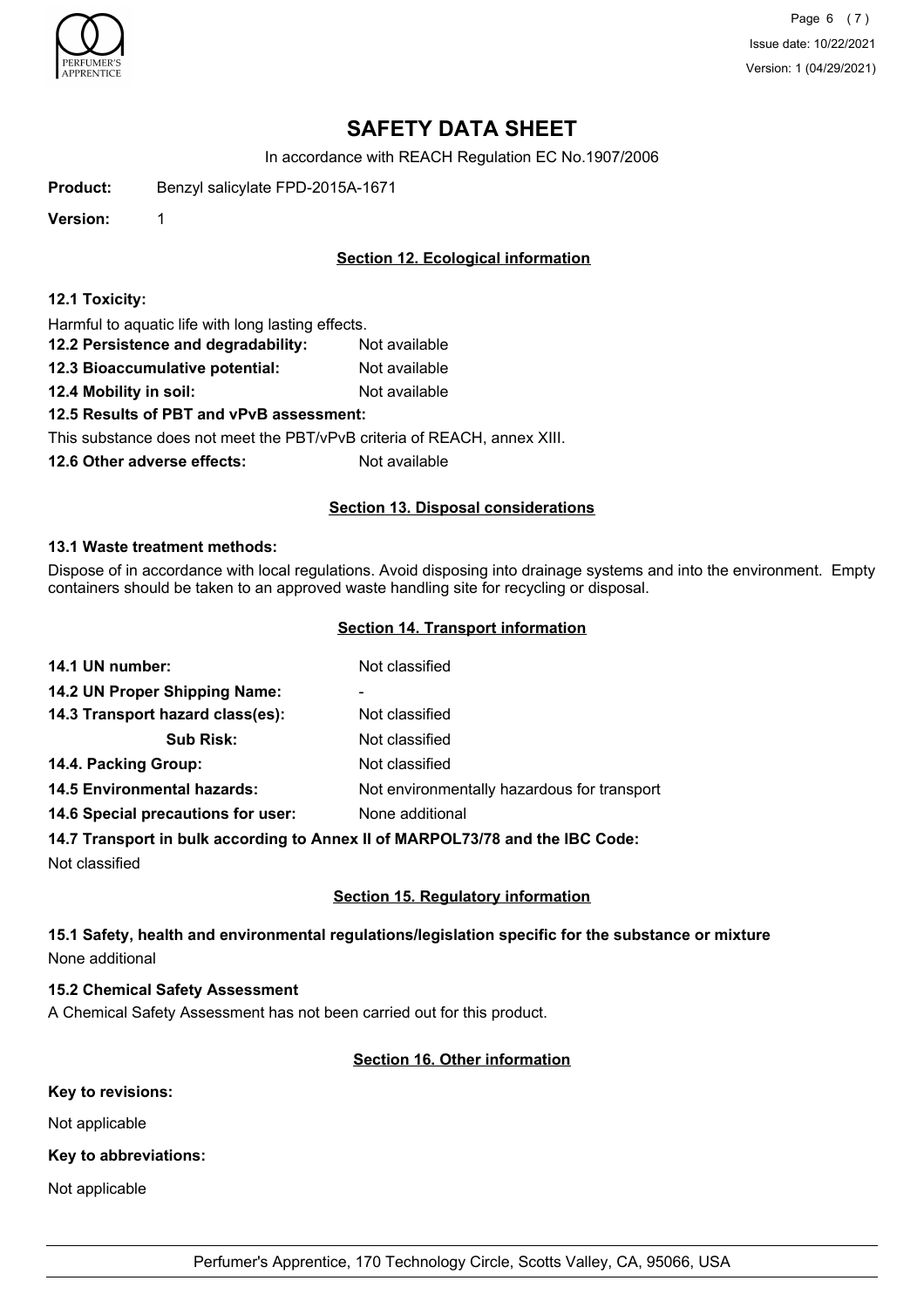

Page 6 (7) Issue date: 10/22/2021 Version: 1 (04/29/2021)

# **SAFETY DATA SHEET**

In accordance with REACH Regulation EC No.1907/2006

**Product:** Benzyl salicylate FPD-2015A-1671

**Version:** 1

## **Section 12. Ecological information**

#### **12.1 Toxicity:**

Harmful to aquatic life with long lasting effects.

- **12.2 Persistence and degradability:** Not available
- **12.3 Bioaccumulative potential:** Not available
- **12.4 Mobility in soil:** Not available

## **12.5 Results of PBT and vPvB assessment:**

This substance does not meet the PBT/vPvB criteria of REACH, annex XIII.

**12.6 Other adverse effects:** Not available

## **Section 13. Disposal considerations**

#### **13.1 Waste treatment methods:**

Dispose of in accordance with local regulations. Avoid disposing into drainage systems and into the environment. Empty containers should be taken to an approved waste handling site for recycling or disposal.

#### **Section 14. Transport information**

| 14.1 UN number:                    | Not classified                              |
|------------------------------------|---------------------------------------------|
| 14.2 UN Proper Shipping Name:      | ۰                                           |
| 14.3 Transport hazard class(es):   | Not classified                              |
| <b>Sub Risk:</b>                   | Not classified                              |
| 14.4. Packing Group:               | Not classified                              |
| <b>14.5 Environmental hazards:</b> | Not environmentally hazardous for transport |
| 14.6 Special precautions for user: | None additional                             |
|                                    |                                             |

#### **14.7 Transport in bulk according to Annex II of MARPOL73/78 and the IBC Code:**

Not classified

## **Section 15. Regulatory information**

## **15.1 Safety, health and environmental regulations/legislation specific for the substance or mixture** None additional

## **15.2 Chemical Safety Assessment**

A Chemical Safety Assessment has not been carried out for this product.

## **Section 16. Other information**

#### **Key to revisions:**

Not applicable

## **Key to abbreviations:**

Not applicable